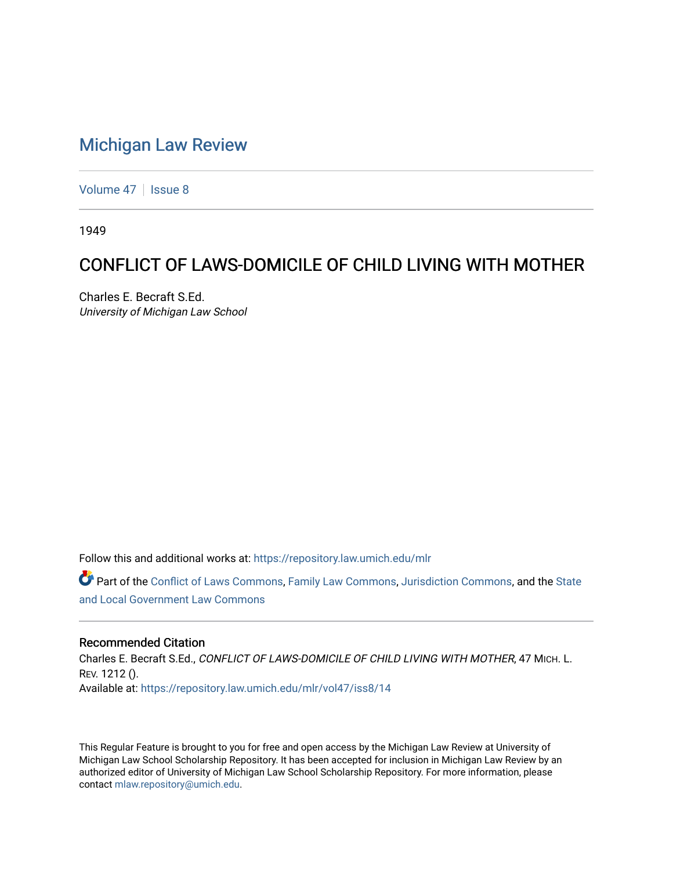## [Michigan Law Review](https://repository.law.umich.edu/mlr)

[Volume 47](https://repository.law.umich.edu/mlr/vol47) | [Issue 8](https://repository.law.umich.edu/mlr/vol47/iss8)

1949

## CONFLICT OF LAWS-DOMICILE OF CHILD LIVING WITH MOTHER

Charles E. Becraft S.Ed. University of Michigan Law School

Follow this and additional works at: [https://repository.law.umich.edu/mlr](https://repository.law.umich.edu/mlr?utm_source=repository.law.umich.edu%2Fmlr%2Fvol47%2Fiss8%2F14&utm_medium=PDF&utm_campaign=PDFCoverPages) 

Part of the [Conflict of Laws Commons,](http://network.bepress.com/hgg/discipline/588?utm_source=repository.law.umich.edu%2Fmlr%2Fvol47%2Fiss8%2F14&utm_medium=PDF&utm_campaign=PDFCoverPages) [Family Law Commons,](http://network.bepress.com/hgg/discipline/602?utm_source=repository.law.umich.edu%2Fmlr%2Fvol47%2Fiss8%2F14&utm_medium=PDF&utm_campaign=PDFCoverPages) [Jurisdiction Commons](http://network.bepress.com/hgg/discipline/850?utm_source=repository.law.umich.edu%2Fmlr%2Fvol47%2Fiss8%2F14&utm_medium=PDF&utm_campaign=PDFCoverPages), and the [State](http://network.bepress.com/hgg/discipline/879?utm_source=repository.law.umich.edu%2Fmlr%2Fvol47%2Fiss8%2F14&utm_medium=PDF&utm_campaign=PDFCoverPages) [and Local Government Law Commons](http://network.bepress.com/hgg/discipline/879?utm_source=repository.law.umich.edu%2Fmlr%2Fvol47%2Fiss8%2F14&utm_medium=PDF&utm_campaign=PDFCoverPages)

## Recommended Citation

Charles E. Becraft S.Ed., CONFLICT OF LAWS-DOMICILE OF CHILD LIVING WITH MOTHER, 47 MICH. L. REV. 1212 (). Available at: [https://repository.law.umich.edu/mlr/vol47/iss8/14](https://repository.law.umich.edu/mlr/vol47/iss8/14?utm_source=repository.law.umich.edu%2Fmlr%2Fvol47%2Fiss8%2F14&utm_medium=PDF&utm_campaign=PDFCoverPages) 

This Regular Feature is brought to you for free and open access by the Michigan Law Review at University of Michigan Law School Scholarship Repository. It has been accepted for inclusion in Michigan Law Review by an authorized editor of University of Michigan Law School Scholarship Repository. For more information, please contact [mlaw.repository@umich.edu](mailto:mlaw.repository@umich.edu).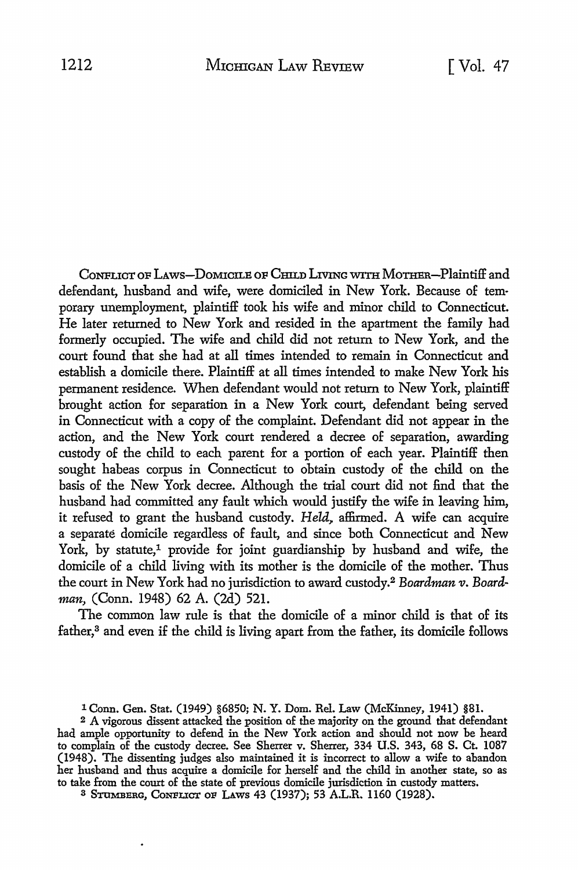CoNFLICT OF LAws-DoMICILE OF CHILD LIVING WITH MoTHER-Plaintiff and defendant, husband and wife, were domiciled in New York. Because of temporary unemployment, plaintiff took his wife and minor child to Connecticut. He later returned to New York and resided in the apartment the family had formerly occupied. The wife and child did not return to New York, and the court found that she had at all times intended to remain in Connecticut and establish a domicile there. Plaintiff at all times intended to make New York his permanent residence. When defendant would not return to New York, plaintiff brought action for separation in a New York court, defendant being served in Connecticut with a copy of the complaint. Defendant did not appear in the action, and the New York court rendered a decree of separation, awarding custody of the child to each parent for a portion of each year. Plaintiff then sought habeas corpus in Connecticut to obtain custody of the child on the basis of the New York decree. Although the trial court did not find that the husband had committed any fault which would justify the wife in leaving him, it refused to grant the husband custody. *Held*, affirmed. A wife can acquire a separate domicile regardless of fault, and since both Connecticut and New York, by statute,<sup>1</sup> provide for joint guardianship by husband and wife, the domicile of a child living with its mother is the domicile of the mother. Thus the court in New York had no jurisdiction to award custody.<sup>2</sup> Boardman v. Board*man,* (Conn. 1948) 62 A. (2d) 521.

The common law rule is that the domicile of a minor child is that of its father,<sup>3</sup> and even if the child is living apart from the father, its domicile follows

3 STOMBERG, CONFLICT OF LAWS 43 (1937); 53 A.L.R. 1160 (1928).

<sup>1</sup> Conn. Gen. Stat. (1949) §6850; N. Y. Dom. Rel. Law (McKinney, 1941) §81.

<sup>2</sup> A vigorous dissent attacked the position of the majority on the ground that defendant had ample opportunity to defend in the New York action and should not now be heard to complain of the custody decree. See Sherrer v. Sherrer, 334 U.S. 343, 68 S. Ct. 1087 (1948). The dissenting judges also maintained it is incorrect to allow a wife to abandon her husband and thus acquire a domicile for herself and the child in another state, so as to take from the court of the state of previous domicile jurisdiction in custody matters.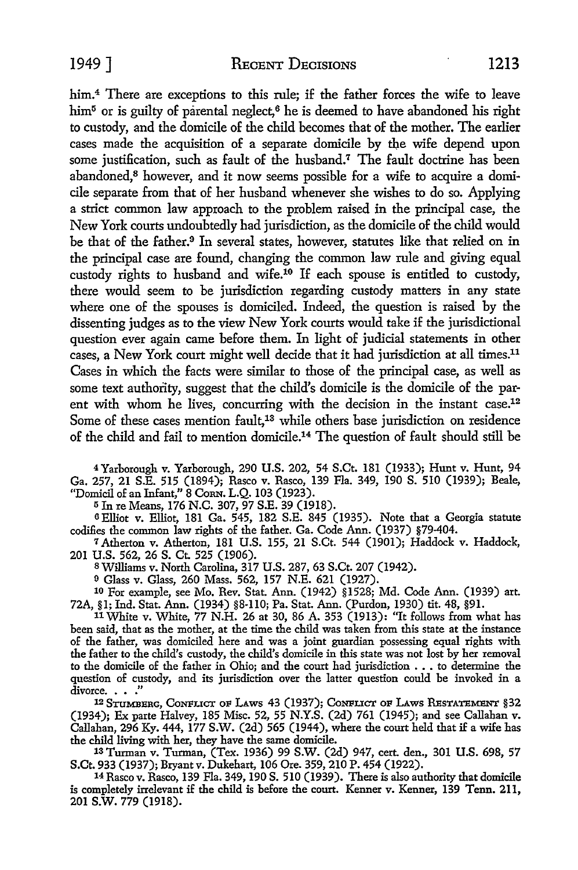him.<sup>4</sup> There are exceptions to this rule; if the father forces the wife to leave him<sup>5</sup> or is guilty of parental neglect,<sup>6</sup> he is deemed to have abandoned his right to custody, and the domicile of the child becomes that of the mother. The earlier cases made the acquisition of a separate domicile by the wife depend upon some justification, such as fault of the husband.<sup>7</sup> The fault doctrine has been abandoned,<sup>8</sup> however, and it now seems possible for a wife to acquire a domicile separate from that of her husband whenever she wishes to do so. Applying a strict common law approach to the problem raised in the principal case, the New York courts undoubtedly had jurisdiction, as the domicile of the child would be that of the father.<sup>9</sup> In several states, however, statutes like that relied on in the principal case are found, changing the common law rule and giving equal custody rights to husband and wife.10 If each spouse is entitled to custody, there would seem to be jurisdiction regarding custody matters in any state where one of the spouses is domiciled. Indeed, the question is raised by the dissenting judges as to the view New York courts would take if the jurisdictional question ever again came before them. In light of judicial statements in other cases, a New York court might well decide that it had jurisdiction at all times.11 Cases in which the facts were similar to those of the principal case, as well as some text authority, suggest that the child's domicile is the domicile of the parent with whom he lives, concurring with the decision in the instant case.<sup>12</sup> Some of these cases mention fault,<sup>13</sup> while others base jurisdiction on residence of the child and fail to mention domicile.14 The question of fault should still be

<sup>4</sup>Yarborough v. Yarborough, 290 U.S. 202, 54 S.Ct. 181 (1933); Hunt v. Hunt, 94 Ga. 257, 21 S.E. 515 (1894); Rasco v. Rasco, 139 Fla. 349, 190 S. 510 (1939); Beale, "Domicil of an Infant," 8 CoRN. L.Q. 103 (1923).

<sup>5</sup>In re Means, 176 N.C. 307, 97 S.E. 39 (1918).

6 Elliot v. Elliot, 181 Ga. 545, 182 S.E. 845 (1935). Note that a Georgia statute codifies the common law rights of the father. Ga. Code Ann. (1937) §79-404.

7 Atherton v. Atherton, 181 U.S. 155, 21 S.Ct. 544 (1901); Haddock v. Haddock, 201 U.S. 562, 26 S. Ct. 525 (1906).

SWilliams v. North Carolina, 317 U.S. 287, 63 S.Ct. 207 (1942).

9 Glass v. Glass, 260 Mass. 562, 157 N.E. 621 (1927).

10 For example, see Mo. Rev. Stat. Ann. (1942) §1528; Md. Code Ann. (1939) art. 72A, §1; Ind. Stat. Ann. (1934) §8-110; Pa. Stat. Ann. (Purdon, 1930) tit. 48, §91.

11 White v. White, 77 N.H. 26 at 30, 86 A. 353 (1913): "It follows from what has been said, that as the mother, at the time the child was taken from this state at the instance of the father, was domiciled here and was a joint guardian possessing equal rights with the father to the child's custody, the child's domicile in this state was not lost by her removal to the domicile of the father in Ohio; and the court had jurisdiction .•. to determine the question of custody, and its jurisdiction over the latter question could be invoked in a divorce.  $\ldots$  ."

12 STIJMBERG, CoNFLICT oF LAws 43 (1937); CoNFLICT oF LAws REsTATEMENT §32 (1934); Ex parte Halvey, 185 Misc. 52, 55 N.Y.S. (2d) 761 (1945); and see Callahan v. Callahan, 296 Ky. 444, 177 S.W. (2d) 565 (1944), where the court held that if a wife has the child living with her, they have the same domicile.

13 Turman v. Turman, (Tex. 1936) 99 S.W. (2d) 947, cert. den., 301 U.S. 698, 57 S.Ct. 933 (1937); Bryant v. Dukehart, 106 Ore. 359, 210 P. 454 (1922).

14 Rasco v. Rasco, 139 Fla. 349, 190 S. 510 (1939). There is also authority that domicile is completely irrelevant if the child is before the court. Kenner v. Kenner, 139 Tenn. 211, 201 s.w. 779 (1918).